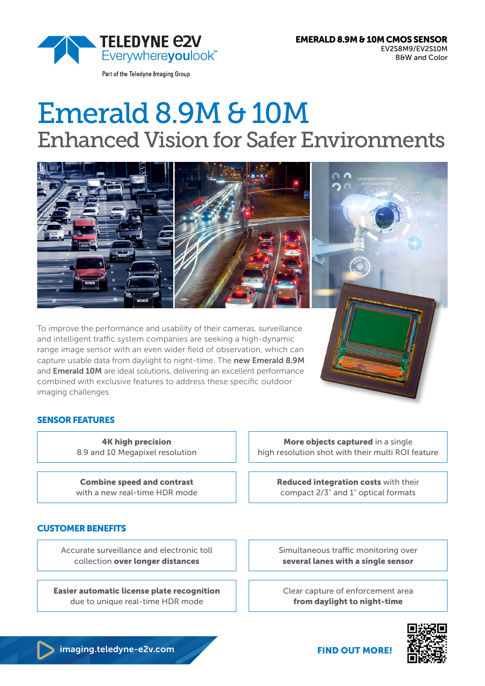

Part of the Teledyne Imaging Group

# Emerald 8.9M & 10M Enhanced Vision for Safer Environments



To improve the performance and usability of their cameras, surveillance and intelligent traffic system companies are seeking a high-dynamic range image sensor with an even wider field of observation, which can capture usable data from daylight to night-time. The new Emerald 8.9M and **Emerald 10M** are ideal solutions, delivering an excellent performance combined with exclusive features to address these specific outdoor imaging challenges.

> 4K high precision 8.9 and 10 Megapixel resolution

SENSOR FEATURES

CUSTOMER BENEFITS

Combine speed and contrast with a new real-time HDR mode

Accurate surveillance and electronic toll collection over longer distances

due to unique real-time HDR mode

More objects captured in a single high resolution shot with their multi ROI feature

> Reduced integration costs with their compact 2/3" and 1" optical formats

Simultaneous traffic monitoring over several lanes with a single sensor

Clear capture of enforcement area from daylight to night-time



almaging.teledyne-e2v.com FIND OUT MORE!

Easier automatic license plate recognition